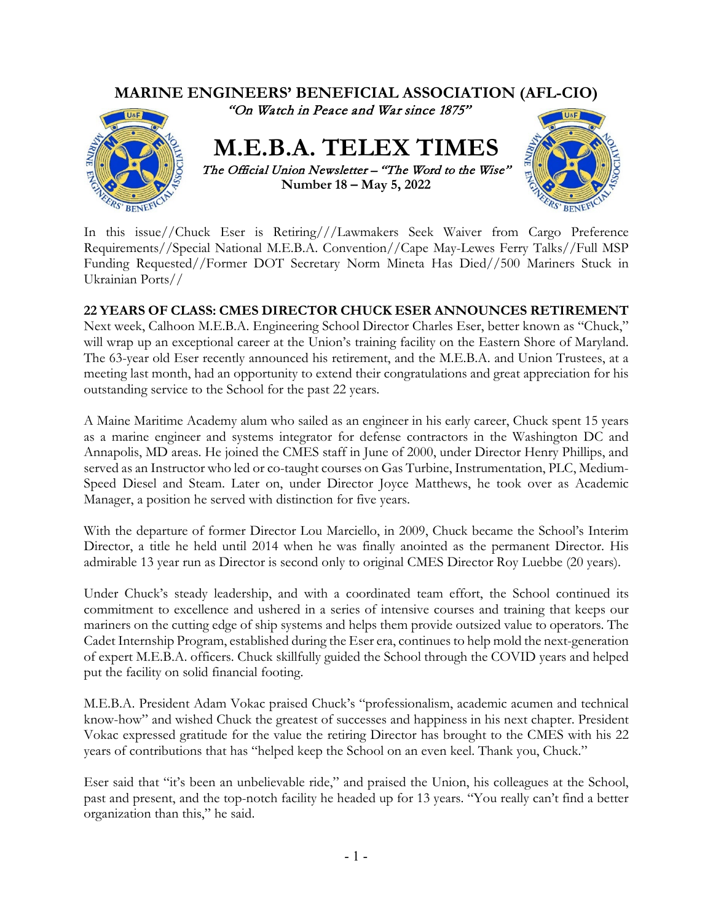

In this issue//Chuck Eser is Retiring///Lawmakers Seek Waiver from Cargo Preference Requirements//Special National M.E.B.A. Convention//Cape May-Lewes Ferry Talks//Full MSP Funding Requested//Former DOT Secretary Norm Mineta Has Died//500 Mariners Stuck in Ukrainian Ports//

# **22 YEARS OF CLASS: CMES DIRECTOR CHUCK ESER ANNOUNCES RETIREMENT**

Next week, Calhoon M.E.B.A. Engineering School Director Charles Eser, better known as "Chuck," will wrap up an exceptional career at the Union's training facility on the Eastern Shore of Maryland. The 63-year old Eser recently announced his retirement, and the M.E.B.A. and Union Trustees, at a meeting last month, had an opportunity to extend their congratulations and great appreciation for his outstanding service to the School for the past 22 years.

A Maine Maritime Academy alum who sailed as an engineer in his early career, Chuck spent 15 years as a marine engineer and systems integrator for defense contractors in the Washington DC and Annapolis, MD areas. He joined the CMES staff in June of 2000, under Director Henry Phillips, and served as an Instructor who led or co-taught courses on Gas Turbine, Instrumentation, PLC, Medium-Speed Diesel and Steam. Later on, under Director Joyce Matthews, he took over as Academic Manager, a position he served with distinction for five years.

With the departure of former Director Lou Marciello, in 2009, Chuck became the School's Interim Director, a title he held until 2014 when he was finally anointed as the permanent Director. His admirable 13 year run as Director is second only to original CMES Director Roy Luebbe (20 years).

Under Chuck's steady leadership, and with a coordinated team effort, the School continued its commitment to excellence and ushered in a series of intensive courses and training that keeps our mariners on the cutting edge of ship systems and helps them provide outsized value to operators. The Cadet Internship Program, established during the Eser era, continues to help mold the next-generation of expert M.E.B.A. officers. Chuck skillfully guided the School through the COVID years and helped put the facility on solid financial footing.

M.E.B.A. President Adam Vokac praised Chuck's "professionalism, academic acumen and technical know-how" and wished Chuck the greatest of successes and happiness in his next chapter. President Vokac expressed gratitude for the value the retiring Director has brought to the CMES with his 22 years of contributions that has "helped keep the School on an even keel. Thank you, Chuck."

Eser said that "it's been an unbelievable ride," and praised the Union, his colleagues at the School, past and present, and the top-notch facility he headed up for 13 years. "You really can't find a better organization than this," he said.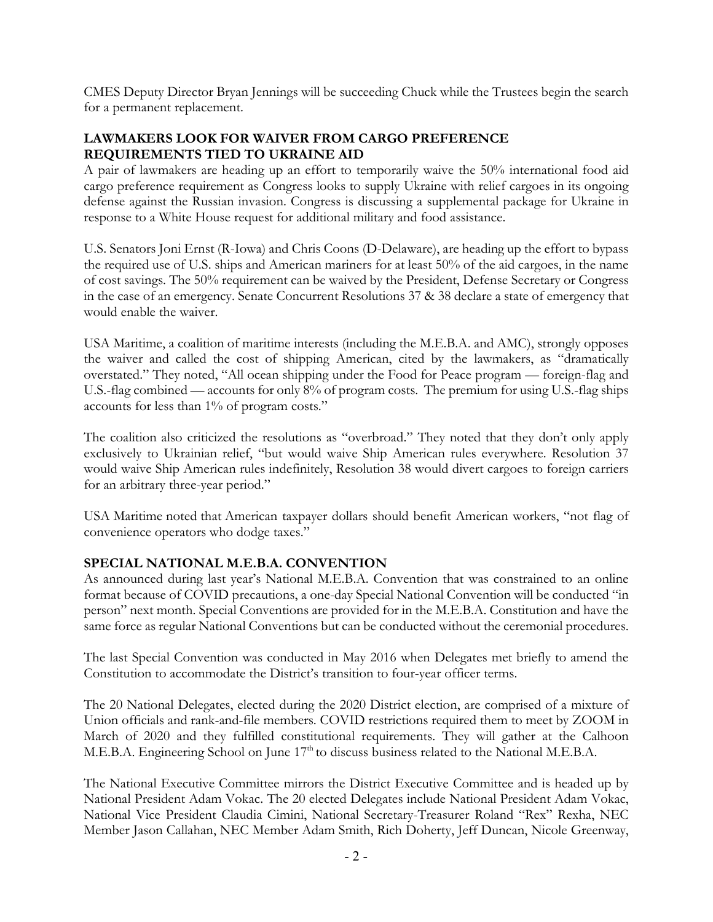CMES Deputy Director Bryan Jennings will be succeeding Chuck while the Trustees begin the search for a permanent replacement.

## **LAWMAKERS LOOK FOR WAIVER FROM CARGO PREFERENCE REQUIREMENTS TIED TO UKRAINE AID**

A pair of lawmakers are heading up an effort to temporarily waive the 50% international food aid cargo preference requirement as Congress looks to supply Ukraine with relief cargoes in its ongoing defense against the Russian invasion. Congress is discussing a supplemental package for Ukraine in response to a White House request for additional military and food assistance.

U.S. Senators Joni Ernst (R-Iowa) and Chris Coons (D-Delaware), are heading up the effort to bypass the required use of U.S. ships and American mariners for at least 50% of the aid cargoes, in the name of cost savings. The 50% requirement can be waived by the President, Defense Secretary or Congress in the case of an emergency. Senate Concurrent Resolutions 37 & 38 declare a state of emergency that would enable the waiver.

USA Maritime, a coalition of maritime interests (including the M.E.B.A. and AMC), strongly opposes the waiver and called the cost of shipping American, cited by the lawmakers, as "dramatically overstated." They noted, "All ocean shipping under the Food for Peace program — foreign-flag and U.S.-flag combined — accounts for only 8% of program costs. The premium for using U.S.-flag ships accounts for less than 1% of program costs."

The coalition also criticized the resolutions as "overbroad." They noted that they don't only apply exclusively to Ukrainian relief, "but would waive Ship American rules everywhere. Resolution 37 would waive Ship American rules indefinitely, Resolution 38 would divert cargoes to foreign carriers for an arbitrary three-year period."

USA Maritime noted that American taxpayer dollars should benefit American workers, "not flag of convenience operators who dodge taxes."

# **SPECIAL NATIONAL M.E.B.A. CONVENTION**

As announced during last year's National M.E.B.A. Convention that was constrained to an online format because of COVID precautions, a one-day Special National Convention will be conducted "in person" next month. Special Conventions are provided for in the M.E.B.A. Constitution and have the same force as regular National Conventions but can be conducted without the ceremonial procedures.

The last Special Convention was conducted in May 2016 when Delegates met briefly to amend the Constitution to accommodate the District's transition to four-year officer terms.

The 20 National Delegates, elected during the 2020 District election, are comprised of a mixture of Union officials and rank-and-file members. COVID restrictions required them to meet by ZOOM in March of 2020 and they fulfilled constitutional requirements. They will gather at the Calhoon M.E.B.A. Engineering School on June 17<sup>th</sup> to discuss business related to the National M.E.B.A.

The National Executive Committee mirrors the District Executive Committee and is headed up by National President Adam Vokac. The 20 elected Delegates include National President Adam Vokac, National Vice President Claudia Cimini, National Secretary-Treasurer Roland "Rex" Rexha, NEC Member Jason Callahan, NEC Member Adam Smith, Rich Doherty, Jeff Duncan, Nicole Greenway,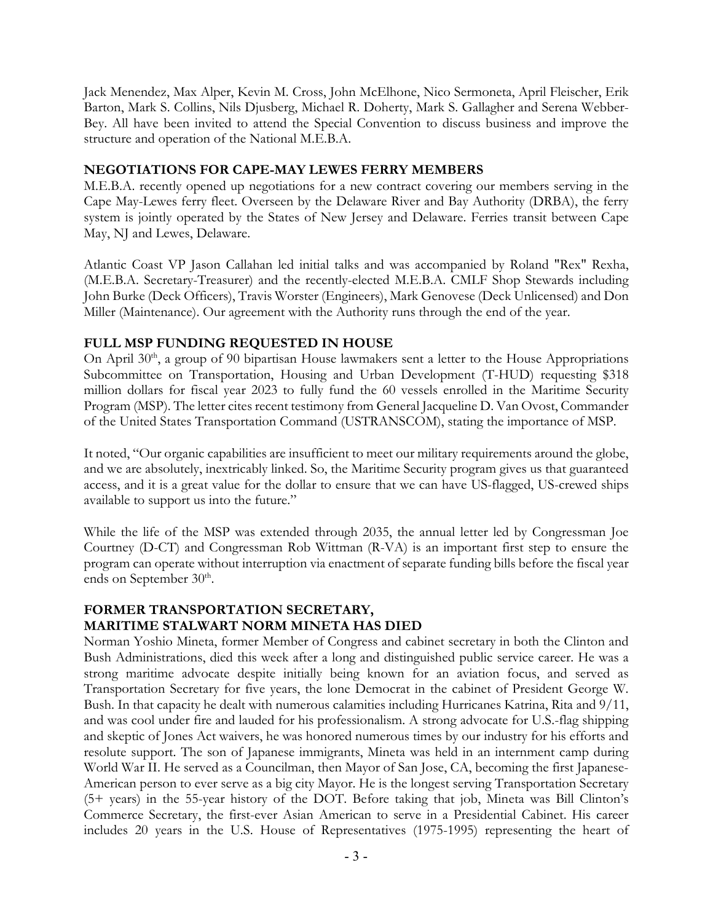Jack Menendez, Max Alper, Kevin M. Cross, John McElhone, Nico Sermoneta, April Fleischer, Erik Barton, Mark S. Collins, Nils Djusberg, Michael R. Doherty, Mark S. Gallagher and Serena Webber-Bey. All have been invited to attend the Special Convention to discuss business and improve the structure and operation of the National M.E.B.A.

#### **NEGOTIATIONS FOR CAPE-MAY LEWES FERRY MEMBERS**

M.E.B.A. recently opened up negotiations for a new contract covering our members serving in the Cape May-Lewes ferry fleet. Overseen by the Delaware River and Bay Authority (DRBA), the ferry system is jointly operated by the States of New Jersey and Delaware. Ferries transit between Cape May, NJ and Lewes, Delaware.

Atlantic Coast VP Jason Callahan led initial talks and was accompanied by Roland "Rex" Rexha, (M.E.B.A. Secretary-Treasurer) and the recently-elected M.E.B.A. CMLF Shop Stewards including John Burke (Deck Officers), Travis Worster (Engineers), Mark Genovese (Deck Unlicensed) and Don Miller (Maintenance). Our agreement with the Authority runs through the end of the year.

## **FULL MSP FUNDING REQUESTED IN HOUSE**

On April 30<sup>th</sup>, a group of 90 bipartisan House lawmakers sent a letter to the House Appropriations Subcommittee on Transportation, Housing and Urban Development (T-HUD) requesting \$318 million dollars for fiscal year 2023 to fully fund the 60 vessels enrolled in the Maritime Security Program (MSP). The letter cites recent testimony from General Jacqueline D. Van Ovost, Commander of the United States Transportation Command (USTRANSCOM), stating the importance of MSP.

It noted, "Our organic capabilities are insufficient to meet our military requirements around the globe, and we are absolutely, inextricably linked. So, the Maritime Security program gives us that guaranteed access, and it is a great value for the dollar to ensure that we can have US-flagged, US-crewed ships available to support us into the future."

While the life of the MSP was extended through 2035, the annual letter led by Congressman Joe Courtney (D-CT) and Congressman Rob Wittman (R-VA) is an important first step to ensure the program can operate without interruption via enactment of separate funding bills before the fiscal year ends on September 30<sup>th</sup>.

## **FORMER TRANSPORTATION SECRETARY, MARITIME STALWART NORM MINETA HAS DIED**

Norman Yoshio Mineta, former Member of Congress and cabinet secretary in both the Clinton and Bush Administrations, died this week after a long and distinguished public service career. He was a strong maritime advocate despite initially being known for an aviation focus, and served as Transportation Secretary for five years, the lone Democrat in the cabinet of President George W. Bush. In that capacity he dealt with numerous calamities including Hurricanes Katrina, Rita and 9/11, and was cool under fire and lauded for his professionalism. A strong advocate for U.S.-flag shipping and skeptic of Jones Act waivers, he was honored numerous times by our industry for his efforts and resolute support. The son of Japanese immigrants, Mineta was held in an internment camp during World War II. He served as a Councilman, then Mayor of San Jose, CA, becoming the first Japanese-American person to ever serve as a big city Mayor. He is the longest serving Transportation Secretary (5+ years) in the 55-year history of the DOT. Before taking that job, Mineta was Bill Clinton's Commerce Secretary, the first-ever Asian American to serve in a Presidential Cabinet. His career includes 20 years in the U.S. House of Representatives (1975-1995) representing the heart of